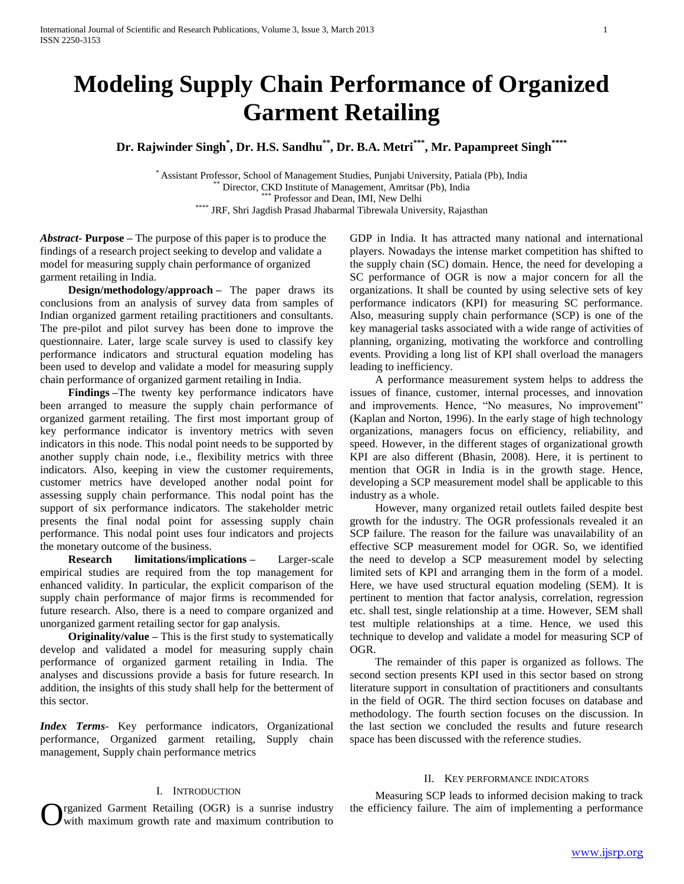# **Modeling Supply Chain Performance of Organized Garment Retailing**

**Dr. Rajwinder Singh\* , Dr. H.S. Sandhu\*\* , Dr. B.A. Metri\*\*\* , Mr. Papampreet Singh\*\*\*\***

\* Assistant Professor, School of Management Studies, Punjabi University, Patiala (Pb), India Director, CKD Institute of Management, Amritsar (Pb), India \*\*\* Professor and Dean, IMI, New Delhi \*\*\*\* JRF, Shri Jagdish Prasad Jhabarmal Tibrewala University, Rajasthan

*Abstract***- Purpose –** The purpose of this paper is to produce the findings of a research project seeking to develop and validate a model for measuring supply chain performance of organized garment retailing in India.

 **Design/methodology/approach –** The paper draws its conclusions from an analysis of survey data from samples of Indian organized garment retailing practitioners and consultants. The pre-pilot and pilot survey has been done to improve the questionnaire. Later, large scale survey is used to classify key performance indicators and structural equation modeling has been used to develop and validate a model for measuring supply chain performance of organized garment retailing in India.

 **Findings –**The twenty key performance indicators have been arranged to measure the supply chain performance of organized garment retailing. The first most important group of key performance indicator is inventory metrics with seven indicators in this node. This nodal point needs to be supported by another supply chain node, i.e., flexibility metrics with three indicators. Also, keeping in view the customer requirements, customer metrics have developed another nodal point for assessing supply chain performance. This nodal point has the support of six performance indicators. The stakeholder metric presents the final nodal point for assessing supply chain performance. This nodal point uses four indicators and projects the monetary outcome of the business.

 **Research limitations/implications –** Larger-scale empirical studies are required from the top management for enhanced validity. In particular, the explicit comparison of the supply chain performance of major firms is recommended for future research. Also, there is a need to compare organized and unorganized garment retailing sector for gap analysis.

 **Originality/value –** This is the first study to systematically develop and validated a model for measuring supply chain performance of organized garment retailing in India. The analyses and discussions provide a basis for future research. In addition, the insights of this study shall help for the betterment of this sector.

*Index Terms*- Key performance indicators, Organizational performance, Organized garment retailing, Supply chain management, Supply chain performance metrics

## I. INTRODUCTION

rganized Garment Retailing (OGR) is a sunrise industry with maximum growth rate and maximum contribution to

GDP in India. It has attracted many national and international players. Nowadays the intense market competition has shifted to the supply chain (SC) domain. Hence, the need for developing a SC performance of OGR is now a major concern for all the organizations. It shall be counted by using selective sets of key performance indicators (KPI) for measuring SC performance. Also, measuring supply chain performance (SCP) is one of the key managerial tasks associated with a wide range of activities of planning, organizing, motivating the workforce and controlling events. Providing a long list of KPI shall overload the managers leading to inefficiency.

 A performance measurement system helps to address the issues of finance, customer, internal processes, and innovation and improvements. Hence, "No measures, No improvement" (Kaplan and Norton, 1996). In the early stage of high technology organizations, managers focus on efficiency, reliability, and speed. However, in the different stages of organizational growth KPI are also different (Bhasin, 2008). Here, it is pertinent to mention that OGR in India is in the growth stage. Hence, developing a SCP measurement model shall be applicable to this industry as a whole.

 However, many organized retail outlets failed despite best growth for the industry. The OGR professionals revealed it an SCP failure. The reason for the failure was unavailability of an effective SCP measurement model for OGR. So, we identified the need to develop a SCP measurement model by selecting limited sets of KPI and arranging them in the form of a model. Here, we have used structural equation modeling (SEM). It is pertinent to mention that factor analysis, correlation, regression etc. shall test, single relationship at a time. However, SEM shall test multiple relationships at a time. Hence, we used this technique to develop and validate a model for measuring SCP of OGR.

 The remainder of this paper is organized as follows. The second section presents KPI used in this sector based on strong literature support in consultation of practitioners and consultants in the field of OGR. The third section focuses on database and methodology. The fourth section focuses on the discussion. In the last section we concluded the results and future research space has been discussed with the reference studies.

## II. KEY PERFORMANCE INDICATORS

 Measuring SCP leads to informed decision making to track the efficiency failure. The aim of implementing a performance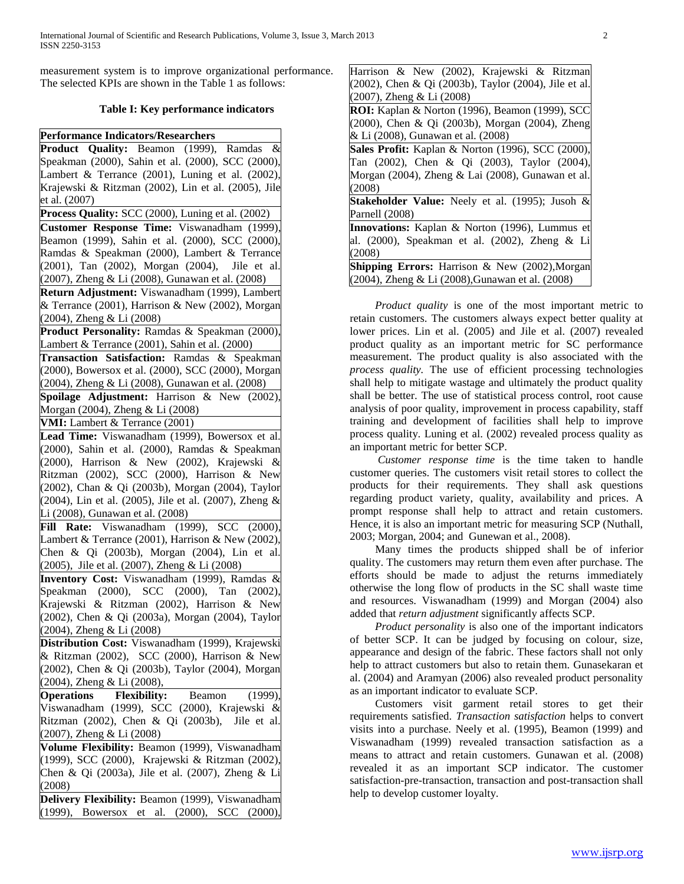measurement system is to improve organizational performance. The selected KPIs are shown in the Table 1 as follows:

## **Table I: Key performance indicators**

**Performance Indicators/Researchers Product Quality:** Beamon (1999), Ramdas & Speakman (2000), Sahin et al. (2000), SCC (2000), Lambert & Terrance (2001), Luning et al. (2002), Krajewski & Ritzman (2002), Lin et al. (2005), Jile et al. (2007) **Process Quality:** SCC (2000), Luning et al. (2002) **Customer Response Time:** Viswanadham (1999), Beamon (1999), Sahin et al. (2000), SCC (2000), Ramdas & Speakman (2000), Lambert & Terrance (2001), Tan (2002), Morgan (2004), Jile et al. (2007), Zheng & Li (2008), Gunawan et al. (2008) **Return Adjustment:** Viswanadham (1999), Lambert & Terrance (2001), Harrison & New (2002), Morgan (2004), Zheng & Li (2008) **Product Personality:** Ramdas & Speakman (2000), Lambert & Terrance (2001), Sahin et al. (2000) **Transaction Satisfaction:** Ramdas & Speakman (2000), Bowersox et al. (2000), SCC (2000), Morgan (2004), Zheng & Li (2008), Gunawan et al. (2008) **Spoilage Adjustment:** Harrison & New (2002), Morgan (2004), Zheng & Li (2008) **VMI:** Lambert & Terrance (2001) **Lead Time:** Viswanadham (1999), Bowersox et al. (2000), Sahin et al. (2000), Ramdas & Speakman (2000), Harrison & New (2002), Krajewski & Ritzman (2002), SCC (2000), Harrison & New (2002), Chan & Qi (2003b), Morgan (2004), Taylor (2004), Lin et al. (2005), Jile et al. (2007), Zheng & Li (2008), Gunawan et al. (2008) **Fill Rate:** Viswanadham (1999), SCC (2000), Lambert & Terrance (2001), Harrison & New (2002). Chen & Qi (2003b), Morgan (2004), Lin et al. (2005), Jile et al. (2007), Zheng & Li (2008) **Inventory Cost:** Viswanadham (1999), Ramdas & Speakman (2000), SCC (2000), Tan (2002), Krajewski & Ritzman (2002), Harrison & New (2002), Chen & Qi (2003a), Morgan (2004), Taylor (2004), Zheng & Li (2008) **Distribution Cost:** Viswanadham (1999), Krajewski & Ritzman (2002), SCC (2000), Harrison & New (2002), Chen & Qi (2003b), Taylor (2004), Morgan (2004), Zheng & Li (2008),

**Operations Flexibility:** Beamon (1999), Viswanadham (1999), SCC (2000), Krajewski & Ritzman (2002), Chen & Qi (2003b), Jile et al. (2007), Zheng & Li (2008)

**Volume Flexibility:** Beamon (1999), Viswanadham (1999), SCC (2000), Krajewski & Ritzman (2002), Chen & Qi (2003a), Jile et al. (2007), Zheng & Li (2008)

**Delivery Flexibility:** Beamon (1999), Viswanadham (1999), Bowersox et al. (2000), SCC (2000),

| Harrison & New (2002), Krajewski & Ritzman               |
|----------------------------------------------------------|
| (2002), Chen & Qi (2003b), Taylor (2004), Jile et al.    |
| $(2007)$ , Zheng & Li $(2008)$                           |
| ROI: Kaplan & Norton (1996), Beamon (1999), SCC          |
| (2000), Chen & Qi (2003b), Morgan (2004), Zheng          |
| & Li (2008), Gunawan et al. (2008)                       |
| Sales Profit: Kaplan & Norton (1996), SCC (2000),        |
| Tan (2002), Chen & Qi (2003), Taylor (2004),             |
| Morgan (2004), Zheng & Lai (2008), Gunawan et al.        |
| (2008)                                                   |
| <b>Stakeholder Value:</b> Neely et al. (1995); Jusoh &   |
| Parnell (2008)                                           |
| <b>Innovations:</b> Kaplan & Norton (1996), Lummus et    |
| al. (2000), Speakman et al. (2002), Zheng & Li           |
| (2008)                                                   |
| Shipping Errors: Harrison & New (2002), Morgan           |
| $(2004)$ , Zheng & Li $(2008)$ , Gunawan et al. $(2008)$ |

 *Product quality* is one of the most important metric to retain customers. The customers always expect better quality at lower prices. Lin et al. (2005) and Jile et al. (2007) revealed product quality as an important metric for SC performance measurement. The product quality is also associated with the *process quality.* The use of efficient processing technologies shall help to mitigate wastage and ultimately the product quality shall be better. The use of statistical process control, root cause analysis of poor quality, improvement in process capability, staff training and development of facilities shall help to improve process quality. Luning et al. (2002) revealed process quality as an important metric for better SCP.

 *Customer response time* is the time taken to handle customer queries. The customers visit retail stores to collect the products for their requirements. They shall ask questions regarding product variety, quality, availability and prices. A prompt response shall help to attract and retain customers. Hence, it is also an important metric for measuring SCP (Nuthall, 2003; Morgan, 2004; and Gunewan et al., 2008).

 Many times the products shipped shall be of inferior quality. The customers may return them even after purchase. The efforts should be made to adjust the returns immediately otherwise the long flow of products in the SC shall waste time and resources. Viswanadham (1999) and Morgan (2004) also added that *return adjustment* significantly affects SCP.

 *Product personality* is also one of the important indicators of better SCP. It can be judged by focusing on colour, size, appearance and design of the fabric. These factors shall not only help to attract customers but also to retain them. Gunasekaran et al. (2004) and Aramyan (2006) also revealed product personality as an important indicator to evaluate SCP.

 Customers visit garment retail stores to get their requirements satisfied. *Transaction satisfaction* helps to convert visits into a purchase. Neely et al. (1995), Beamon (1999) and Viswanadham (1999) revealed transaction satisfaction as a means to attract and retain customers. Gunawan et al. (2008) revealed it as an important SCP indicator. The customer satisfaction-pre-transaction, transaction and post-transaction shall help to develop customer loyalty.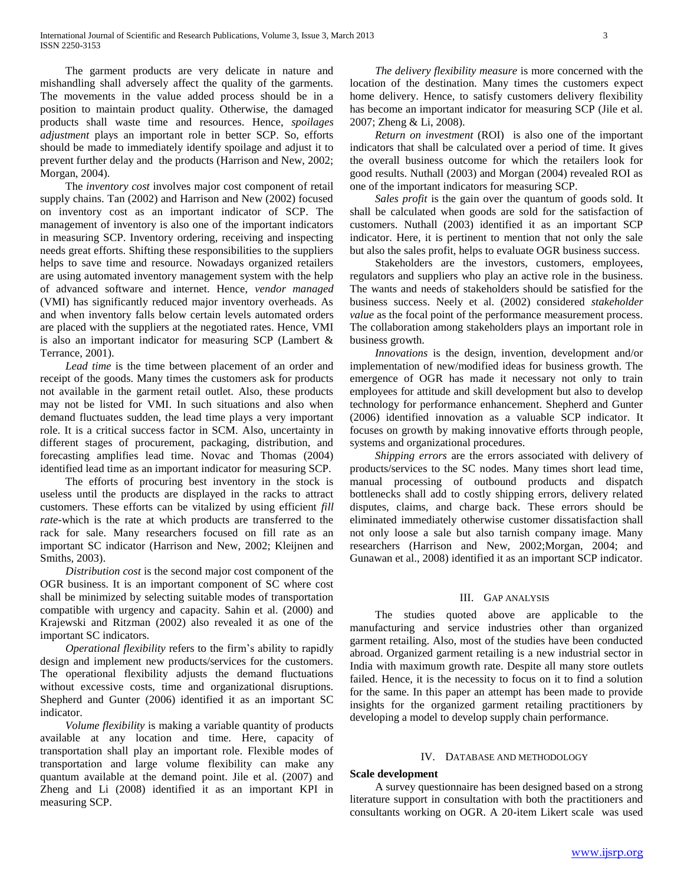The garment products are very delicate in nature and mishandling shall adversely affect the quality of the garments. The movements in the value added process should be in a position to maintain product quality. Otherwise, the damaged products shall waste time and resources. Hence, *spoilages adjustment* plays an important role in better SCP. So, efforts should be made to immediately identify spoilage and adjust it to prevent further delay and the products (Harrison and New, 2002; Morgan, 2004).

 The *inventory cost* involves major cost component of retail supply chains. Tan (2002) and Harrison and New (2002) focused on inventory cost as an important indicator of SCP. The management of inventory is also one of the important indicators in measuring SCP. Inventory ordering, receiving and inspecting needs great efforts. Shifting these responsibilities to the suppliers helps to save time and resource. Nowadays organized retailers are using automated inventory management system with the help of advanced software and internet. Hence, *vendor managed*  (VMI) has significantly reduced major inventory overheads. As and when inventory falls below certain levels automated orders are placed with the suppliers at the negotiated rates. Hence, VMI is also an important indicator for measuring SCP (Lambert & Terrance, 2001).

 *Lead time* is the time between placement of an order and receipt of the goods. Many times the customers ask for products not available in the garment retail outlet. Also, these products may not be listed for VMI. In such situations and also when demand fluctuates sudden, the lead time plays a very important role. It is a critical success factor in SCM. Also, uncertainty in different stages of procurement, packaging, distribution, and forecasting amplifies lead time. Novac and Thomas (2004) identified lead time as an important indicator for measuring SCP.

 The efforts of procuring best inventory in the stock is useless until the products are displayed in the racks to attract customers. These efforts can be vitalized by using efficient *fill rate-*which is the rate at which products are transferred to the rack for sale. Many researchers focused on fill rate as an important SC indicator (Harrison and New, 2002; Kleijnen and Smiths, 2003).

 *Distribution cost* is the second major cost component of the OGR business. It is an important component of SC where cost shall be minimized by selecting suitable modes of transportation compatible with urgency and capacity. Sahin et al. (2000) and Krajewski and Ritzman (2002) also revealed it as one of the important SC indicators.

 *Operational flexibility* refers to the firm's ability to rapidly design and implement new products/services for the customers. The operational flexibility adjusts the demand fluctuations without excessive costs, time and organizational disruptions. Shepherd and Gunter (2006) identified it as an important SC indicator.

 *Volume flexibility* is making a variable quantity of products available at any location and time. Here, capacity of transportation shall play an important role. Flexible modes of transportation and large volume flexibility can make any quantum available at the demand point. Jile et al. (2007) and Zheng and Li (2008) identified it as an important KPI in measuring SCP.

 *The delivery flexibility measure* is more concerned with the location of the destination. Many times the customers expect home delivery. Hence, to satisfy customers delivery flexibility has become an important indicator for measuring SCP (Jile et al. 2007; Zheng & Li, 2008).

 *Return on investment* (ROI) is also one of the important indicators that shall be calculated over a period of time. It gives the overall business outcome for which the retailers look for good results. Nuthall (2003) and Morgan (2004) revealed ROI as one of the important indicators for measuring SCP.

 *Sales profit* is the gain over the quantum of goods sold. It shall be calculated when goods are sold for the satisfaction of customers. Nuthall (2003) identified it as an important SCP indicator. Here, it is pertinent to mention that not only the sale but also the sales profit, helps to evaluate OGR business success.

 Stakeholders are the investors, customers, employees, regulators and suppliers who play an active role in the business. The wants and needs of stakeholders should be satisfied for the business success. Neely et al. (2002) considered *stakeholder value* as the focal point of the performance measurement process. The collaboration among stakeholders plays an important role in business growth.

 *Innovations* is the design, invention, development and/or implementation of new/modified ideas for business growth. The emergence of OGR has made it necessary not only to train employees for attitude and skill development but also to develop technology for performance enhancement. Shepherd and Gunter (2006) identified innovation as a valuable SCP indicator. It focuses on growth by making innovative efforts through people, systems and organizational procedures.

 *Shipping errors* are the errors associated with delivery of products/services to the SC nodes. Many times short lead time, manual processing of outbound products and dispatch bottlenecks shall add to costly shipping errors, delivery related disputes, claims, and charge back. These errors should be eliminated immediately otherwise customer dissatisfaction shall not only loose a sale but also tarnish company image. Many researchers (Harrison and New, 2002;Morgan, 2004; and Gunawan et al., 2008) identified it as an important SCP indicator.

### III. GAP ANALYSIS

 The studies quoted above are applicable to the manufacturing and service industries other than organized garment retailing. Also, most of the studies have been conducted abroad. Organized garment retailing is a new industrial sector in India with maximum growth rate. Despite all many store outlets failed. Hence, it is the necessity to focus on it to find a solution for the same. In this paper an attempt has been made to provide insights for the organized garment retailing practitioners by developing a model to develop supply chain performance.

### IV. DATABASE AND METHODOLOGY

### **Scale development**

 A survey questionnaire has been designed based on a strong literature support in consultation with both the practitioners and consultants working on OGR. A 20-item Likert scale was used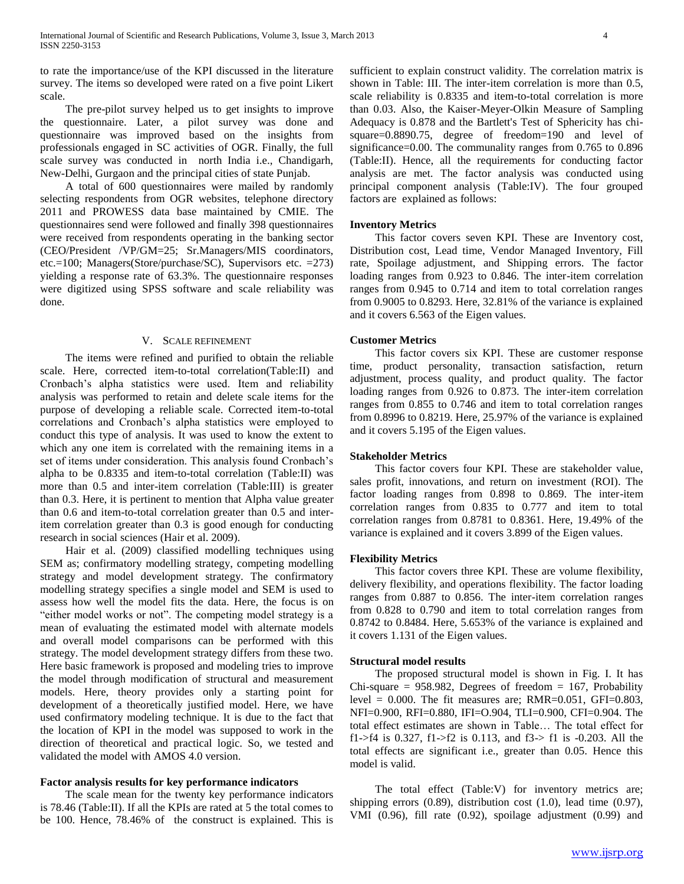to rate the importance/use of the KPI discussed in the literature survey. The items so developed were rated on a five point Likert scale.

 The pre-pilot survey helped us to get insights to improve the questionnaire. Later, a pilot survey was done and questionnaire was improved based on the insights from professionals engaged in SC activities of OGR. Finally, the full scale survey was conducted in north India i.e., Chandigarh, New-Delhi, Gurgaon and the principal cities of state Punjab.

 A total of 600 questionnaires were mailed by randomly selecting respondents from OGR websites, telephone directory 2011 and PROWESS data base maintained by CMIE. The questionnaires send were followed and finally 398 questionnaires were received from respondents operating in the banking sector (CEO/President /VP/GM=25; Sr.Managers/MIS coordinators, etc.=100; Managers(Store/purchase/SC), Supervisors etc. =273) yielding a response rate of 63.3%. The questionnaire responses were digitized using SPSS software and scale reliability was done.

### V. SCALE REFINEMENT

 The items were refined and purified to obtain the reliable scale. Here, corrected item-to-total correlation(Table:II) and Cronbach's alpha statistics were used. Item and reliability analysis was performed to retain and delete scale items for the purpose of developing a reliable scale. Corrected item-to-total correlations and Cronbach's alpha statistics were employed to conduct this type of analysis. It was used to know the extent to which any one item is correlated with the remaining items in a set of items under consideration. This analysis found Cronbach's alpha to be 0.8335 and item-to-total correlation (Table:II) was more than 0.5 and inter-item correlation (Table:III) is greater than 0.3. Here, it is pertinent to mention that Alpha value greater than 0.6 and item-to-total correlation greater than 0.5 and interitem correlation greater than 0.3 is good enough for conducting research in social sciences (Hair et al. 2009).

 Hair et al. (2009) classified modelling techniques using SEM as; confirmatory modelling strategy, competing modelling strategy and model development strategy. The confirmatory modelling strategy specifies a single model and SEM is used to assess how well the model fits the data. Here, the focus is on "either model works or not". The competing model strategy is a mean of evaluating the estimated model with alternate models and overall model comparisons can be performed with this strategy. The model development strategy differs from these two. Here basic framework is proposed and modeling tries to improve the model through modification of structural and measurement models. Here, theory provides only a starting point for development of a theoretically justified model. Here, we have used confirmatory modeling technique. It is due to the fact that the location of KPI in the model was supposed to work in the direction of theoretical and practical logic. So, we tested and validated the model with AMOS 4.0 version.

### **Factor analysis results for key performance indicators**

 The scale mean for the twenty key performance indicators is 78.46 (Table:II). If all the KPIs are rated at 5 the total comes to be 100. Hence, 78.46% of the construct is explained. This is sufficient to explain construct validity. The correlation matrix is shown in Table: III. The inter-item correlation is more than 0.5, scale reliability is 0.8335 and item-to-total correlation is more than 0.03. Also, the Kaiser-Meyer-Olkin Measure of Sampling Adequacy is 0.878 and the Bartlett's Test of Sphericity has chisquare=0.8890.75, degree of freedom=190 and level of significance=0.00. The communality ranges from 0.765 to 0.896 (Table:II). Hence, all the requirements for conducting factor analysis are met. The factor analysis was conducted using principal component analysis (Table:IV). The four grouped factors are explained as follows:

### **Inventory Metrics**

 This factor covers seven KPI. These are Inventory cost, Distribution cost, Lead time, Vendor Managed Inventory, Fill rate, Spoilage adjustment, and Shipping errors. The factor loading ranges from 0.923 to 0.846. The inter-item correlation ranges from 0.945 to 0.714 and item to total correlation ranges from 0.9005 to 0.8293. Here, 32.81% of the variance is explained and it covers 6.563 of the Eigen values.

## **Customer Metrics**

 This factor covers six KPI. These are customer response time, product personality, transaction satisfaction, return adjustment, process quality, and product quality. The factor loading ranges from 0.926 to 0.873. The inter-item correlation ranges from 0.855 to 0.746 and item to total correlation ranges from 0.8996 to 0.8219. Here, 25.97% of the variance is explained and it covers 5.195 of the Eigen values.

#### **Stakeholder Metrics**

 This factor covers four KPI. These are stakeholder value, sales profit, innovations, and return on investment (ROI). The factor loading ranges from 0.898 to 0.869. The inter-item correlation ranges from 0.835 to 0.777 and item to total correlation ranges from 0.8781 to 0.8361. Here, 19.49% of the variance is explained and it covers 3.899 of the Eigen values.

### **Flexibility Metrics**

 This factor covers three KPI. These are volume flexibility, delivery flexibility, and operations flexibility. The factor loading ranges from 0.887 to 0.856. The inter-item correlation ranges from 0.828 to 0.790 and item to total correlation ranges from 0.8742 to 0.8484. Here, 5.653% of the variance is explained and it covers 1.131 of the Eigen values.

#### **Structural model results**

 The proposed structural model is shown in Fig. I. It has Chi-square =  $958.982$ , Degrees of freedom = 167, Probability level = 0.000. The fit measures are; RMR=0.051, GFI=0.803, NFI=0.900, RFI=0.880, IFI=O.904, TLI=0.900, CFI=0.904. The total effect estimates are shown in Table… The total effect for f1->f4 is 0.327, f1->f2 is 0.113, and f3-> f1 is -0.203. All the total effects are significant i.e., greater than 0.05. Hence this model is valid.

 The total effect (Table:V) for inventory metrics are; shipping errors (0.89), distribution cost (1.0), lead time (0.97), VMI (0.96), fill rate (0.92), spoilage adjustment (0.99) and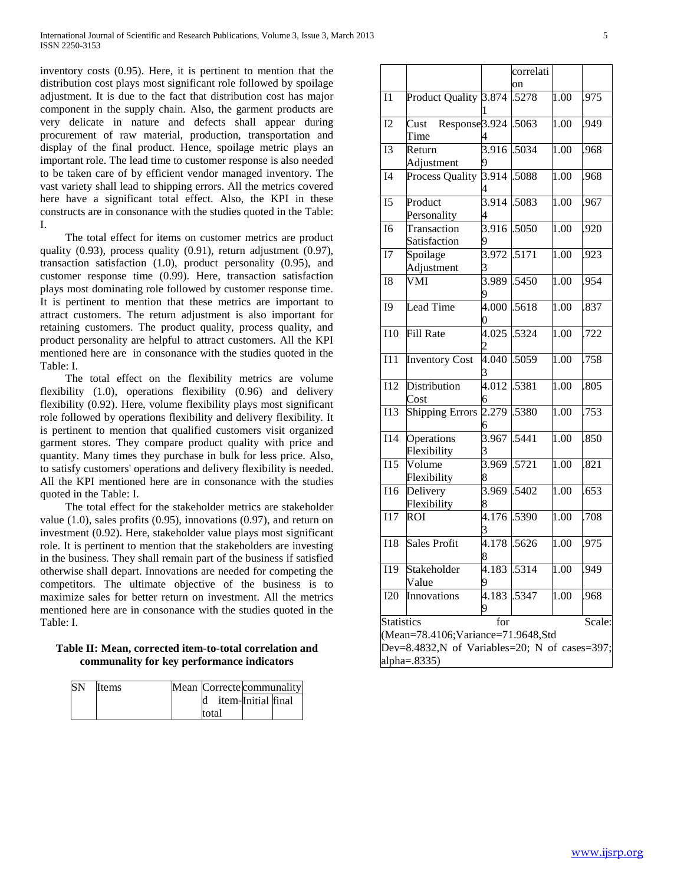inventory costs (0.95). Here, it is pertinent to mention that the distribution cost plays most significant role followed by spoilage adjustment. It is due to the fact that distribution cost has major component in the supply chain. Also, the garment products are very delicate in nature and defects shall appear during procurement of raw material, production, transportation and display of the final product. Hence, spoilage metric plays an important role. The lead time to customer response is also needed to be taken care of by efficient vendor managed inventory. The vast variety shall lead to shipping errors. All the metrics covered here have a significant total effect. Also, the KPI in these constructs are in consonance with the studies quoted in the Table: I.

 The total effect for items on customer metrics are product quality (0.93), process quality (0.91), return adjustment (0.97), transaction satisfaction (1.0), product personality (0.95), and customer response time (0.99). Here, transaction satisfaction plays most dominating role followed by customer response time. It is pertinent to mention that these metrics are important to attract customers. The return adjustment is also important for retaining customers. The product quality, process quality, and product personality are helpful to attract customers. All the KPI mentioned here are in consonance with the studies quoted in the Table: I.

 The total effect on the flexibility metrics are volume flexibility (1.0), operations flexibility (0.96) and delivery flexibility (0.92). Here, volume flexibility plays most significant role followed by operations flexibility and delivery flexibility. It is pertinent to mention that qualified customers visit organized garment stores. They compare product quality with price and quantity. Many times they purchase in bulk for less price. Also, to satisfy customers' operations and delivery flexibility is needed. All the KPI mentioned here are in consonance with the studies quoted in the Table: I.

 The total effect for the stakeholder metrics are stakeholder value (1.0), sales profits (0.95), innovations (0.97), and return on investment (0.92). Here, stakeholder value plays most significant role. It is pertinent to mention that the stakeholders are investing in the business. They shall remain part of the business if satisfied otherwise shall depart. Innovations are needed for competing the competitors. The ultimate objective of the business is to maximize sales for better return on investment. All the metrics mentioned here are in consonance with the studies quoted in the Table: I.

## **Table II: Mean, corrected item-to-total correlation and communality for key performance indicators**

| <b>SN</b> | <b>I</b> tems |  |       |  | Mean Correcte communality |  |  |  |
|-----------|---------------|--|-------|--|---------------------------|--|--|--|
|           |               |  |       |  | item-Initial final        |  |  |  |
|           |               |  | total |  |                           |  |  |  |

|                                               |                                |                         | correlati |                    |        |  |  |
|-----------------------------------------------|--------------------------------|-------------------------|-----------|--------------------|--------|--|--|
|                                               |                                |                         | on        |                    |        |  |  |
| I1                                            | <b>Product Quality</b>         | 3.874                   | .5278     | 1.00               | .975   |  |  |
| I2                                            | Response 3.924<br>Cust<br>Time | 1                       | .5063     | $\overline{1.00}$  | .949   |  |  |
| <b>I3</b>                                     | Return<br>Adjustment           | 3.916<br>9              | .5034     | 1.00               | .968   |  |  |
| I4                                            | <b>Process Quality</b>         | $\frac{3.914}{ }$       | .5088     | $\overline{1}$ .00 | .968   |  |  |
| I5                                            | Product<br>Personality         | 3.914<br>4              | .5083     | 1.00               | .967   |  |  |
| I <sub>6</sub>                                | Transaction<br>Satisfaction    | 3.916                   | .5050     | 1.00               | .920   |  |  |
| I7                                            | Spoilage<br>Adjustment         | 3.972<br>3              | .5171     | 1.00               | .923   |  |  |
| <b>I8</b>                                     | VMI                            | $\overline{3.989}$<br>9 | .5450     | 1.00               | .954   |  |  |
| <b>I9</b>                                     | <b>Lead Time</b>               | 4.000                   | .5618     | 1.00               | .837   |  |  |
| <b>I10</b>                                    | Fill Rate                      | 4.025                   | .5324     | $\overline{1.00}$  | .722   |  |  |
| I11                                           | <b>Inventory Cost</b>          | 4.040                   | .5059     | 1.00               | .758   |  |  |
| I12                                           | Distribution<br>Cost           | 4.012<br>6              | .5381     | 1.00               | .805   |  |  |
| <b>I13</b>                                    | <b>Shipping Errors</b>         | 2.279<br>6              | .5380     | 1.00               | .753   |  |  |
| I14                                           | Operations<br>Flexibility      | 3.967<br>3              | .5441     | 1.00               | .850   |  |  |
| <b>I15</b>                                    | Volume<br>Flexibility          | $\overline{3.969}$<br>8 | .5721     | $\overline{1.00}$  | .821   |  |  |
| 116                                           | Delivery<br>Flexibility        | 3.969<br>8              | .5402     | $\overline{1.00}$  | .653   |  |  |
| I17                                           | <b>ROI</b>                     | 4.176<br>3              | .5390     | $\overline{1.00}$  | .708   |  |  |
| <b>I18</b>                                    | <b>Sales Profit</b>            | 4.178<br>8              | .5626     | 1.00               | .975   |  |  |
| 119                                           | Stakeholder<br>Value           | 4.183 1.5314<br>9       |           | 1.00               | .949   |  |  |
| <b>I20</b>                                    | Innovations                    | 4.183<br>9              | .5347     | 1.00               | .968   |  |  |
| <b>Statistics</b>                             |                                | for                     |           |                    | Scale: |  |  |
| (Mean=78.4106; Variance=71.9648, Std          |                                |                         |           |                    |        |  |  |
| Dev=8.4832,N of Variables=20; N of cases=397; |                                |                         |           |                    |        |  |  |
|                                               | alpha= $.8335$ )               |                         |           |                    |        |  |  |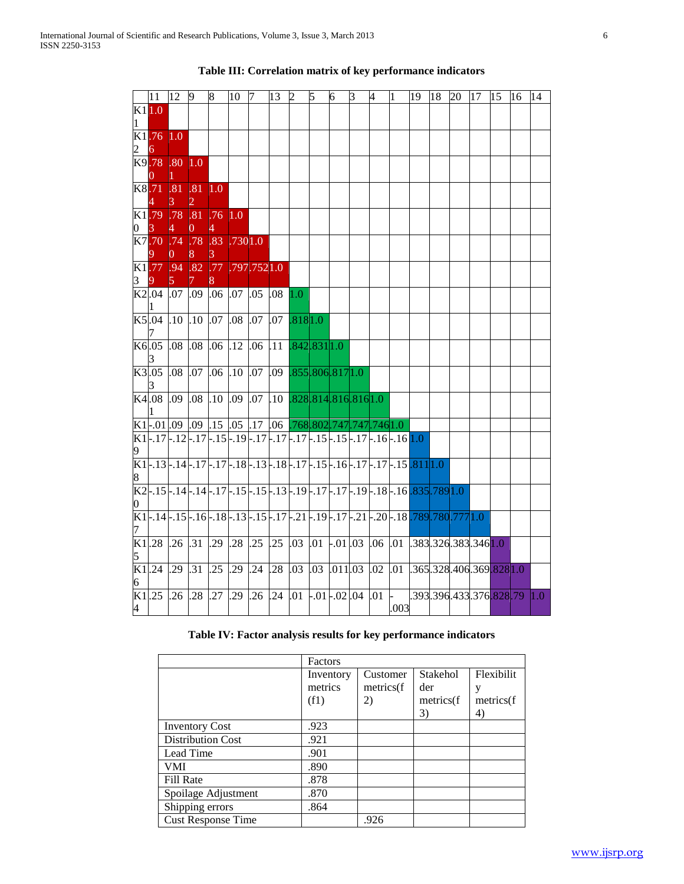|                | $ 11\rangle$              | 12 9                      |                   | 8                                                       | 10 7    |                                                  | 13 | 2               | $\sqrt{5}$ | 6 | $\mathbf{3}$ | $\overline{4}$                 | $\vert$ 1                                                                                                             |  |                     | 19   18   20   17   15   16   14       |     |
|----------------|---------------------------|---------------------------|-------------------|---------------------------------------------------------|---------|--------------------------------------------------|----|-----------------|------------|---|--------------|--------------------------------|-----------------------------------------------------------------------------------------------------------------------|--|---------------------|----------------------------------------|-----|
| K11.0<br>1     |                           |                           |                   |                                                         |         |                                                  |    |                 |            |   |              |                                |                                                                                                                       |  |                     |                                        |     |
|                | K1.76<br>6                | 1.0                       |                   |                                                         |         |                                                  |    |                 |            |   |              |                                |                                                                                                                       |  |                     |                                        |     |
|                | K9.78                     | .80 <sub>0</sub>          | 1.0               |                                                         |         |                                                  |    |                 |            |   |              |                                |                                                                                                                       |  |                     |                                        |     |
|                | K8.71                     | .81<br>3.                 | .81<br>2          | 1.0                                                     |         |                                                  |    |                 |            |   |              |                                |                                                                                                                       |  |                     |                                        |     |
| 0              | K1.79<br>$\mathbf{3}$     | .78 .81<br>4 <sup>1</sup> | $\rm 0$           | .76 1.0<br>$\overline{4}$                               |         |                                                  |    |                 |            |   |              |                                |                                                                                                                       |  |                     |                                        |     |
|                | K7.70                     | .74 .78<br>0.             | 8.                | .83<br>3.                                               | .7301.0 |                                                  |    |                 |            |   |              |                                |                                                                                                                       |  |                     |                                        |     |
| 3              |                           |                           | K1.77 .94 .82 .77 |                                                         |         | .797.7521.0                                      |    |                 |            |   |              |                                |                                                                                                                       |  |                     |                                        |     |
|                | K2.04                     | $.07$ $.09$               |                   | $.06$ $.07$ $.05$ $.08$                                 |         |                                                  |    | 1.0             |            |   |              |                                |                                                                                                                       |  |                     |                                        |     |
|                | K5.04                     | $.10$ $.10$               |                   | .07 .08 .07                                             |         |                                                  |    | $.07$ $.8181.0$ |            |   |              |                                |                                                                                                                       |  |                     |                                        |     |
|                | K6.05                     | $.08$ $.08$               |                   | $.06$ $.12$ $.06$ $.11$ $.842$ $.831$ $1.0$             |         |                                                  |    |                 |            |   |              |                                |                                                                                                                       |  |                     |                                        |     |
|                | K3.05                     | .08                       | .07               | $.06$ $.10$ $.07$ $.09$ $.855$ $.806$ $.817$ $1.0$      |         |                                                  |    |                 |            |   |              |                                |                                                                                                                       |  |                     |                                        |     |
|                | K4.08                     | $.09$ $.08$               |                   | $.10$ .09 .07 .10 .828.814.816.816.10                   |         |                                                  |    |                 |            |   |              |                                |                                                                                                                       |  |                     |                                        |     |
|                |                           |                           |                   | $K1$ .01.09 .09 .15 .05 .17 .06 .768.802.747.747.746.10 |         |                                                  |    |                 |            |   |              |                                |                                                                                                                       |  |                     |                                        |     |
|                |                           |                           |                   |                                                         |         |                                                  |    |                 |            |   |              |                                | $K1$ , $17$ , $12$ , $17$ , $15$ , $19$ , $17$ , $17$ , $17$ , $17$ , $15$ , $15$ , $17$ , $16$ , $16$ , $10$         |  |                     |                                        |     |
|                |                           |                           |                   |                                                         |         |                                                  |    |                 |            |   |              |                                | $K1$ , $13$ , $14$ , $17$ , $17$ , $18$ , $13$ , $18$ , $17$ , $15$ , $16$ , $17$ , $17$ , $17$ , $15$ , $811$ , $10$ |  |                     |                                        |     |
| 0              |                           |                           |                   |                                                         |         |                                                  |    |                 |            |   |              |                                | K2-.15-.14-.14-.17-.15-.15-.13-.19-.17-.17-.19-.18-.16.835.7891.0                                                     |  |                     |                                        |     |
| 7              |                           |                           |                   |                                                         |         |                                                  |    |                 |            |   |              |                                | $K1$ . 14. 15. 16. 18. 13. 15. 17. 21. 19. 17. 21. 17. 21. 17. 21. 20. 18. 789. 780. 777. 1. 0                        |  |                     |                                        |     |
|                | K1.28                     | $.26$ .31                 |                   | $.29 \; .28$                                            |         | $.25$ $.25$ $.03$ $.01$ $-.01$ $.03$ $.06$ $.01$ |    |                 |            |   |              |                                |                                                                                                                       |  | .383.326.383.3461.0 |                                        |     |
|                | $\frac{5}{\text{K1}.24}$  | $.29 \; .31$              |                   | $.25$ .29                                               |         | $.24$ .28 .03                                    |    |                 |            |   |              | $.03$ $.011$ $.03$ $.02$ $.01$ |                                                                                                                       |  |                     | $.365$ .328.406.369.828 1.0            |     |
| $\overline{4}$ | $\frac{6}{\text{K1}}$ .25 | $.26$ .28                 |                   | .27                                                     | .29     | $.26$ $.24$ $.01$ $-.01$ $-.02$ $.04$ $.01$ $-$  |    |                 |            |   |              |                                | .003                                                                                                                  |  |                     | .393.396.433.376 <mark>.828</mark> .79 | 1.0 |

# **Table III: Correlation matrix of key performance indicators**

# **Table IV: Factor analysis results for key performance indicators**

|                           | Factors   |           |            |            |
|---------------------------|-----------|-----------|------------|------------|
|                           | Inventory | Customer  | Stakehol   | Flexibilit |
|                           | metrics   | metrics(f | der        | у          |
|                           | (f1)      | 2)        | metrics(f) | metrics(f  |
|                           |           |           | 3)         | 4)         |
| <b>Inventory Cost</b>     | .923      |           |            |            |
| <b>Distribution Cost</b>  | .921      |           |            |            |
| Lead Time                 | .901      |           |            |            |
| VMI                       | .890      |           |            |            |
| Fill Rate                 | .878      |           |            |            |
| Spoilage Adjustment       | .870      |           |            |            |
| Shipping errors           | .864      |           |            |            |
| <b>Cust Response Time</b> |           | .926      |            |            |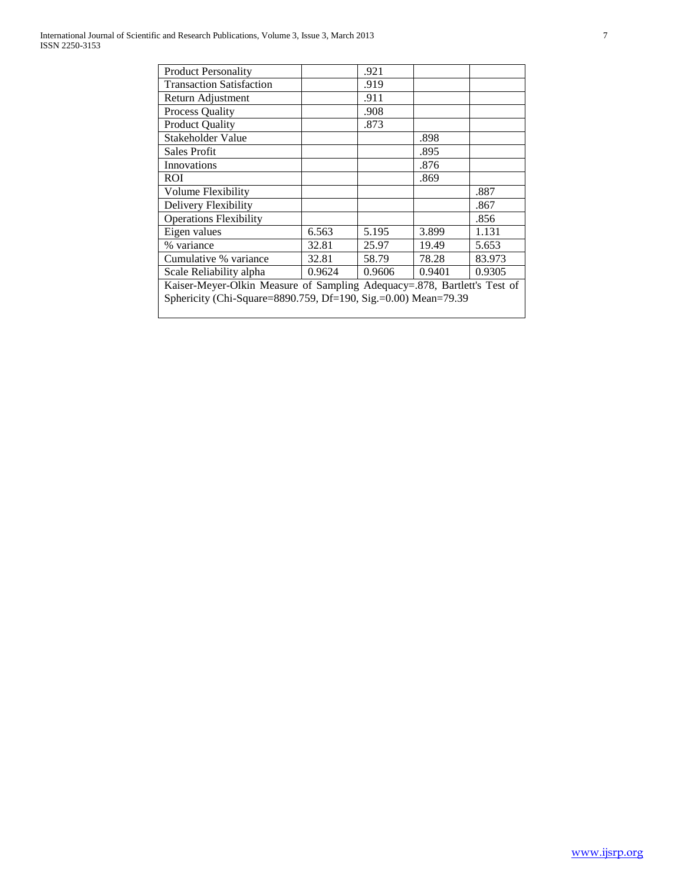| <b>Product Personality</b>                                               |        | .921   |        |        |  |  |  |  |
|--------------------------------------------------------------------------|--------|--------|--------|--------|--|--|--|--|
| <b>Transaction Satisfaction</b>                                          |        | .919   |        |        |  |  |  |  |
| Return Adjustment                                                        |        | .911   |        |        |  |  |  |  |
| Process Quality                                                          |        | .908   |        |        |  |  |  |  |
| <b>Product Quality</b>                                                   |        | .873   |        |        |  |  |  |  |
| Stakeholder Value                                                        |        |        | .898   |        |  |  |  |  |
| Sales Profit                                                             |        |        | .895   |        |  |  |  |  |
| Innovations                                                              |        |        | .876   |        |  |  |  |  |
| <b>ROI</b>                                                               |        |        | .869   |        |  |  |  |  |
| Volume Flexibility                                                       |        |        |        | .887   |  |  |  |  |
| Delivery Flexibility                                                     |        |        |        | .867   |  |  |  |  |
| <b>Operations Flexibility</b>                                            |        |        |        | .856   |  |  |  |  |
| Eigen values                                                             | 6.563  | 5.195  | 3.899  | 1.131  |  |  |  |  |
| % variance                                                               | 32.81  | 25.97  | 19.49  | 5.653  |  |  |  |  |
| Cumulative % variance                                                    | 32.81  | 58.79  | 78.28  | 83.973 |  |  |  |  |
| Scale Reliability alpha                                                  | 0.9624 | 0.9606 | 0.9401 | 0.9305 |  |  |  |  |
| Kaiser-Meyer-Olkin Measure of Sampling Adequacy=.878, Bartlett's Test of |        |        |        |        |  |  |  |  |
| Sphericity (Chi-Square=8890.759, Df=190, Sig.=0.00) Mean=79.39           |        |        |        |        |  |  |  |  |
|                                                                          |        |        |        |        |  |  |  |  |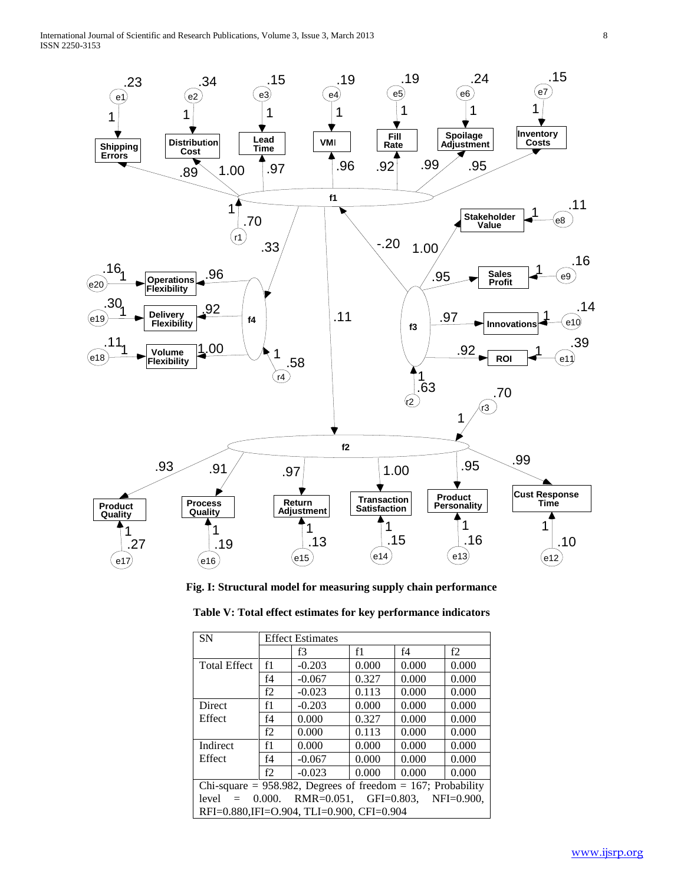

**Fig. I: Structural model for measuring supply chain performance**

| <b>SN</b>                                                           | <b>Effect Estimates</b> |          |       |       |       |  |  |  |  |
|---------------------------------------------------------------------|-------------------------|----------|-------|-------|-------|--|--|--|--|
|                                                                     |                         | f3       | f1    | f4    | f2    |  |  |  |  |
| <b>Total Effect</b>                                                 | f1                      | $-0.203$ | 0.000 | 0.000 | 0.000 |  |  |  |  |
|                                                                     | f4                      | $-0.067$ | 0.327 | 0.000 | 0.000 |  |  |  |  |
|                                                                     | f2                      | $-0.023$ | 0.113 | 0.000 | 0.000 |  |  |  |  |
| Direct                                                              | f1                      | $-0.203$ | 0.000 | 0.000 | 0.000 |  |  |  |  |
| Effect                                                              | f4                      | 0.000    | 0.327 | 0.000 | 0.000 |  |  |  |  |
|                                                                     | f2                      | 0.000    | 0.113 | 0.000 | 0.000 |  |  |  |  |
| Indirect                                                            | f1                      | 0.000    | 0.000 | 0.000 | 0.000 |  |  |  |  |
| Effect                                                              | f4                      | $-0.067$ | 0.000 | 0.000 | 0.000 |  |  |  |  |
|                                                                     | f2                      | $-0.023$ | 0.000 | 0.000 | 0.000 |  |  |  |  |
| Chi-square = 958.982, Degrees of freedom = 167; Probability         |                         |          |       |       |       |  |  |  |  |
| $RMR = 0.051$ ,<br>GFI= $0.803$ . NFI= $0.900$ .<br>0.000.<br>level |                         |          |       |       |       |  |  |  |  |
| RFI=0.880,IFI=O.904, TLI=0.900, CFI=0.904                           |                         |          |       |       |       |  |  |  |  |

**Table V: Total effect estimates for key performance indicators**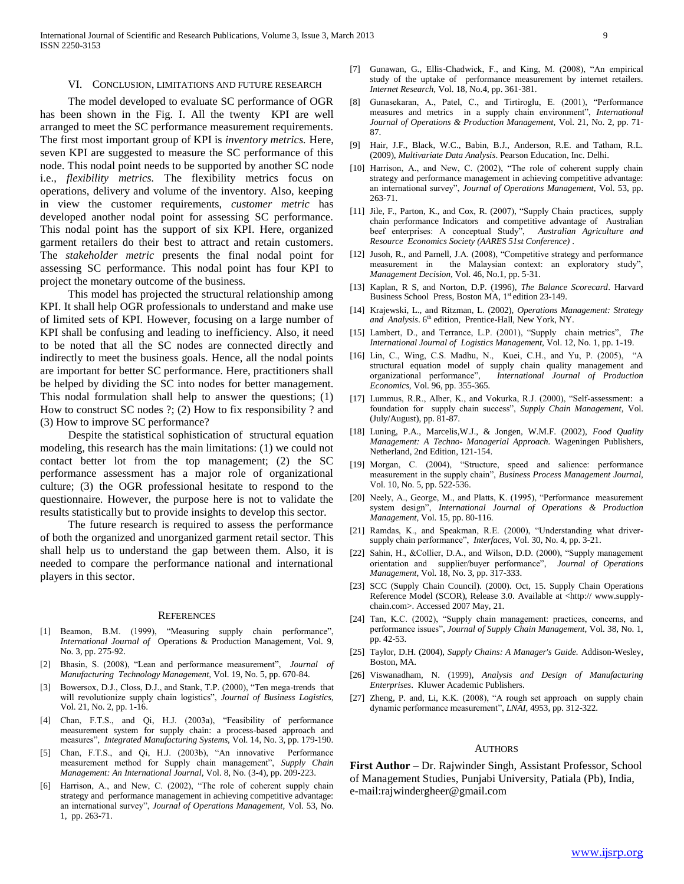#### VI. CONCLUSION, LIMITATIONS AND FUTURE RESEARCH

 The model developed to evaluate SC performance of OGR has been shown in the Fig. I. All the twenty KPI are well arranged to meet the SC performance measurement requirements. The first most important group of KPI is *inventory metrics.* Here, seven KPI are suggested to measure the SC performance of this node. This nodal point needs to be supported by another SC node i.e., *flexibility metrics.* The flexibility metrics focus on operations, delivery and volume of the inventory. Also, keeping in view the customer requirements, *customer metric* has developed another nodal point for assessing SC performance. This nodal point has the support of six KPI. Here, organized garment retailers do their best to attract and retain customers. The *stakeholder metric* presents the final nodal point for assessing SC performance. This nodal point has four KPI to project the monetary outcome of the business.

 This model has projected the structural relationship among KPI. It shall help OGR professionals to understand and make use of limited sets of KPI. However, focusing on a large number of KPI shall be confusing and leading to inefficiency. Also, it need to be noted that all the SC nodes are connected directly and indirectly to meet the business goals. Hence, all the nodal points are important for better SC performance. Here, practitioners shall be helped by dividing the SC into nodes for better management. This nodal formulation shall help to answer the questions; (1) How to construct SC nodes ?; (2) How to fix responsibility ? and (3) How to improve SC performance?

 Despite the statistical sophistication of structural equation modeling, this research has the main limitations: (1) we could not contact better lot from the top management; (2) the SC performance assessment has a major role of organizational culture; (3) the OGR professional hesitate to respond to the questionnaire. However, the purpose here is not to validate the results statistically but to provide insights to develop this sector.

 The future research is required to assess the performance of both the organized and unorganized garment retail sector. This shall help us to understand the gap between them. Also, it is needed to compare the performance national and international players in this sector.

#### **REFERENCES**

- [1] Beamon, B.M. (1999), "Measuring supply chain performance", *International Journal of* Operations & Production Management, Vol. 9, No. 3, pp. 275-92.
- [2] Bhasin, S. (2008), "Lean and performance measurement", *Journal of Manufacturing Technology Management,* Vol. 19, No. 5, pp. 670-84.
- [3] Bowersox, D.J., Closs, D.J., and Stank, T.P. (2000), "Ten mega-trends that will revolutionize supply chain logistics", *Journal of Business Logistics,*  Vol. 21, No. 2, pp. 1-16.
- [4] Chan, F.T.S., and Qi, H.J. (2003a), "Feasibility of performance measurement system for supply chain: a process-based approach and measures", *Integrated Manufacturing Systems,* Vol. 14, No. 3, pp. 179-190.
- [5] Chan, F.T.S., and Qi, H.J. (2003b), "An innovative Performance measurement method for Supply chain management", *Supply Chain Management: An International Journal,* Vol. 8, No. (3-4), pp. 209-223.
- [6] Harrison, A., and New, C. (2002), "The role of coherent supply chain strategy and performance management in achieving competitive advantage: an international survey", *Journal of Operations Management,* Vol. 53, No. 1, pp. 263-71.
- [7] Gunawan, G., Ellis-Chadwick, F., and King, M. (2008), "An empirical study of the uptake of performance measurement by internet retailers. *Internet Research,* Vol. 18, No.4, pp. 361-381.
- [8] Gunasekaran, A., Patel, C., and Tirtiroglu, E. (2001), "Performance measures and metrics in a supply chain environment", *International Journal of Operations & Production Management,* Vol. 21, No. 2, pp. 71- 87.
- [9] Hair, J.F., Black, W.C., Babin, B.J., Anderson, R.E. and Tatham, R.L. (2009), *Multivariate Data Analysis*. Pearson Education, Inc. Delhi.
- [10] Harrison, A., and New, C. (2002), "The role of coherent supply chain strategy and performance management in achieving competitive advantage: an international survey", *Journal of Operations Management,* Vol. 53, pp. 263-71.
- [11] Jile, F., Parton, K., and Cox, R. (2007), "Supply Chain practices, supply chain performance Indicators and competitive advantage of Australian beef enterprises: A conceptual Study", *Australian Agriculture and Resource Economics Society (AARES 51st Conference)* .
- [12] Jusoh, R., and Parnell, J.A. (2008), "Competitive strategy and performance measurement in the Malaysian context: an exploratory study", *Management Decision,* Vol. 46, No.1, pp. 5-31.
- [13] Kaplan, R S, and Norton, D.P. (1996), *The Balance Scorecard*. Harvard Business School Press, Boston MA,  $1<sup>st</sup>$  edition 23-149.
- [14] Krajewski, L., and Ritzman, L. (2002), *Operations Management: Strategy*  and Analysis. 6<sup>th</sup> edition, Prentice-Hall, New York, NY.
- [15] Lambert, D., and Terrance, L.P. (2001), "Supply chain metrics", *The International Journal of Logistics Management,* Vol. 12, No. 1, pp. 1-19.
- [16] Lin, C., Wing, C.S. Madhu, N., Kuei, C.H., and Yu, P. (2005), "A structural equation model of supply chain quality management and organizational performance", *International Journal of Production Economics,* Vol. 96, pp. 355-365*.*
- [17] Lummus, R.R., Alber, K., and Vokurka, R.J. (2000), "Self-assessment: a foundation for supply chain success", *Supply Chain Management,* Vol. (July/August), pp. 81-87.
- [18] Luning, P.A., Marcelis,W.J., & Jongen, W.M.F. (2002), *Food Quality Management: A Techno- Managerial Approach.* Wageningen Publishers, Netherland, 2nd Edition, 121-154.
- [19] Morgan, C. (2004), "Structure, speed and salience: performance measurement in the supply chain", *Business Process Management Journal,*  Vol. 10, No. 5, pp. 522-536.
- [20] Neely, A., George, M., and Platts, K. (1995), "Performance measurement system design", *International Journal of Operations & Production Management,* Vol. 15, pp. 80-116.
- [21] Ramdas, K., and Speakman, R.E. (2000), "Understanding what driversupply chain performance", *Interfaces*, Vol. 30, No. 4, pp. 3-21.
- [22] Sahin, H., &Collier, D.A., and Wilson, D.D. (2000), "Supply management orientation and supplier/buyer performance", *Journal of Operations Management,* Vol. 18, No. 3, pp. 317-333.
- [23] SCC (Supply Chain Council). (2000). Oct, 15. Supply Chain Operations Reference Model (SCOR), Release 3.0. Available at <http:// www.supplychain.com>. Accessed 2007 May, 21.
- [24] Tan, K.C. (2002), "Supply chain management: practices, concerns, and performance issues", *Journal of Supply Chain Management,* Vol. 38, No. 1, pp. 42-53.
- [25] Taylor, D.H. (2004), *Supply Chains: A Manager's Guide.* Addison-Wesley, Boston, MA.
- [26] Viswanadham, N. (1999), *Analysis and Design of Manufacturing Enterprises*. Kluwer Academic Publishers.
- [27] Zheng, P. and, Li, K.K. (2008), "A rough set approach on supply chain dynamic performance measurement", *LNAI,* 4953, pp. 312-322.

#### AUTHORS

**First Author** – Dr. Rajwinder Singh, Assistant Professor, School of Management Studies, Punjabi University, Patiala (Pb), India, e-mail:rajwindergheer@gmail.com